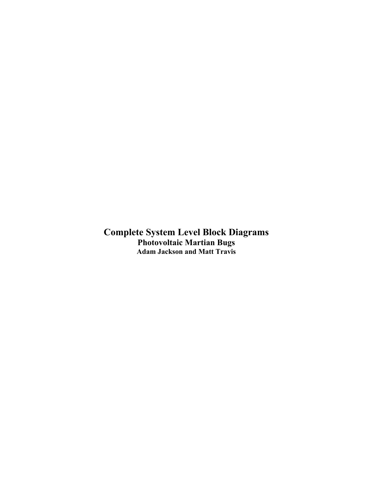Complete System Level Block Diagrams Photovoltaic Martian Bugs Adam Jackson and Matt Travis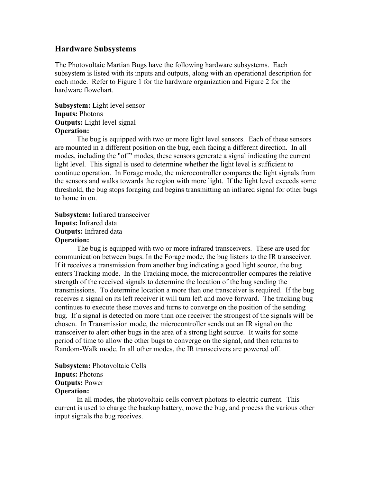# Hardware Subsystems

The Photovoltaic Martian Bugs have the following hardware subsystems. Each subsystem is listed with its inputs and outputs, along with an operational description for each mode. Refer to Figure 1 for the hardware organization and Figure 2 for the hardware flowchart.

### Subsystem: Light level sensor Inputs: Photons Outputs: Light level signal Operation:

The bug is equipped with two or more light level sensors. Each of these sensors are mounted in a different position on the bug, each facing a different direction. In all modes, including the "off" modes, these sensors generate a signal indicating the current light level. This signal is used to determine whether the light level is sufficient to continue operation. In Forage mode, the microcontroller compares the light signals from the sensors and walks towards the region with more light. If the light level exceeds some threshold, the bug stops foraging and begins transmitting an infrared signal for other bugs to home in on.

Subsystem: Infrared transceiver Inputs: Infrared data Outputs: Infrared data Operation:

The bug is equipped with two or more infrared transceivers. These are used for communication between bugs. In the Forage mode, the bug listens to the IR transceiver. If it receives a transmission from another bug indicating a good light source, the bug enters Tracking mode. In the Tracking mode, the microcontroller compares the relative strength of the received signals to determine the location of the bug sending the transmissions. To determine location a more than one transceiver is required. If the bug receives a signal on its left receiver it will turn left and move forward. The tracking bug continues to execute these moves and turns to converge on the position of the sending bug. If a signal is detected on more than one receiver the strongest of the signals will be chosen. In Transmission mode, the microcontroller sends out an IR signal on the transceiver to alert other bugs in the area of a strong light source. It waits for some period of time to allow the other bugs to converge on the signal, and then returns to Random-Walk mode. In all other modes, the IR transceivers are powered off.

Subsystem: Photovoltaic Cells Inputs: Photons Outputs: Power Operation:

In all modes, the photovoltaic cells convert photons to electric current. This current is used to charge the backup battery, move the bug, and process the various other input signals the bug receives.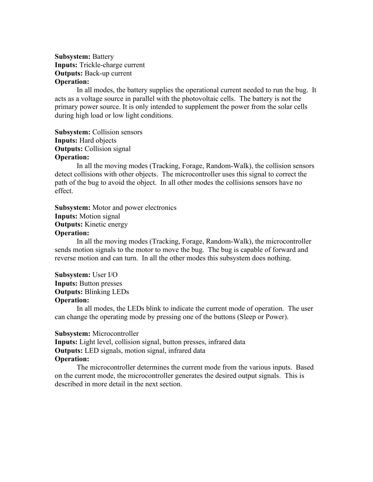### Subsystem: Battery Inputs: Trickle-charge current Outputs: Back-up current Operation:

In all modes, the battery supplies the operational current needed to run the bug. It acts as a voltage source in parallel with the photovoltaic cells. The battery is not the primary power source. It is only intended to supplement the power from the solar cells during high load or low light conditions.

Subsystem: Collision sensors Inputs: Hard objects **Outputs:** Collision signal Operation:

In all the moving modes (Tracking, Forage, Random-Walk), the collision sensors detect collisions with other objects. The microcontroller uses this signal to correct the path of the bug to avoid the object. In all other modes the collisions sensors have no effect.

Subsystem: Motor and power electronics Inputs: Motion signal Outputs: Kinetic energy Operation:

In all the moving modes (Tracking, Forage, Random-Walk), the microcontroller sends motion signals to the motor to move the bug. The bug is capable of forward and reverse motion and can turn. In all the other modes this subsystem does nothing.

Subsystem: User I/O Inputs: Button presses Outputs: Blinking LEDs Operation:

In all modes, the LEDs blink to indicate the current mode of operation. The user can change the operating mode by pressing one of the buttons (Sleep or Power).

#### Subsystem: Microcontroller

Inputs: Light level, collision signal, button presses, infrared data Outputs: LED signals, motion signal, infrared data Operation:

The microcontroller determines the current mode from the various inputs. Based on the current mode, the microcontroller generates the desired output signals. This is described in more detail in the next section.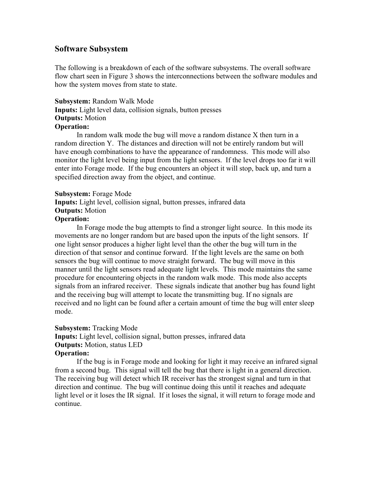## Software Subsystem

The following is a breakdown of each of the software subsystems. The overall software flow chart seen in Figure 3 shows the interconnections between the software modules and how the system moves from state to state.

Subsystem: Random Walk Mode Inputs: Light level data, collision signals, button presses **Outputs: Motion** Operation:

In random walk mode the bug will move a random distance X then turn in a random direction Y. The distances and direction will not be entirely random but will have enough combinations to have the appearance of randomness. This mode will also monitor the light level being input from the light sensors. If the level drops too far it will enter into Forage mode. If the bug encounters an object it will stop, back up, and turn a specified direction away from the object, and continue.

Subsystem: Forage Mode Inputs: Light level, collision signal, button presses, infrared data **Outputs: Motion** Operation:

In Forage mode the bug attempts to find a stronger light source. In this mode its movements are no longer random but are based upon the inputs of the light sensors. If one light sensor produces a higher light level than the other the bug will turn in the direction of that sensor and continue forward. If the light levels are the same on both sensors the bug will continue to move straight forward. The bug will move in this manner until the light sensors read adequate light levels. This mode maintains the same procedure for encountering objects in the random walk mode. This mode also accepts signals from an infrared receiver. These signals indicate that another bug has found light and the receiving bug will attempt to locate the transmitting bug. If no signals are received and no light can be found after a certain amount of time the bug will enter sleep mode.

#### Subsystem: Tracking Mode

Inputs: Light level, collision signal, button presses, infrared data Outputs: Motion, status LED

#### Operation:

If the bug is in Forage mode and looking for light it may receive an infrared signal from a second bug. This signal will tell the bug that there is light in a general direction. The receiving bug will detect which IR receiver has the strongest signal and turn in that direction and continue. The bug will continue doing this until it reaches and adequate light level or it loses the IR signal. If it loses the signal, it will return to forage mode and continue.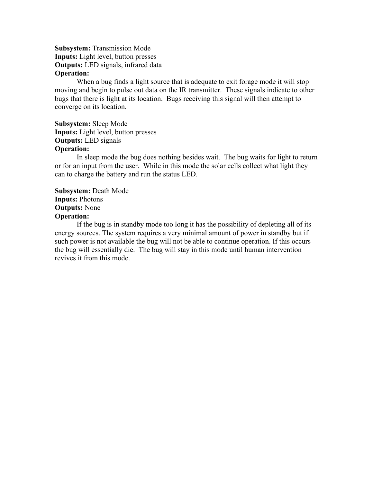Subsystem: Transmission Mode Inputs: Light level, button presses Outputs: LED signals, infrared data Operation:

When a bug finds a light source that is adequate to exit forage mode it will stop moving and begin to pulse out data on the IR transmitter. These signals indicate to other bugs that there is light at its location. Bugs receiving this signal will then attempt to converge on its location.

Subsystem: Sleep Mode Inputs: Light level, button presses Outputs: LED signals Operation:

In sleep mode the bug does nothing besides wait. The bug waits for light to return or for an input from the user. While in this mode the solar cells collect what light they can to charge the battery and run the status LED.

Subsystem: Death Mode Inputs: Photons Outputs: None Operation:

If the bug is in standby mode too long it has the possibility of depleting all of its energy sources. The system requires a very minimal amount of power in standby but if such power is not available the bug will not be able to continue operation. If this occurs the bug will essentially die. The bug will stay in this mode until human intervention revives it from this mode.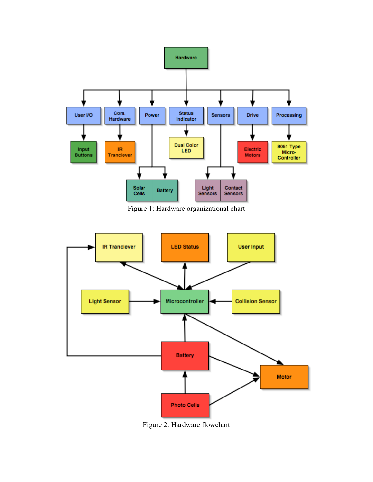

Figure 1: Hardware organizational chart



Figure 2: Hardware flowchart